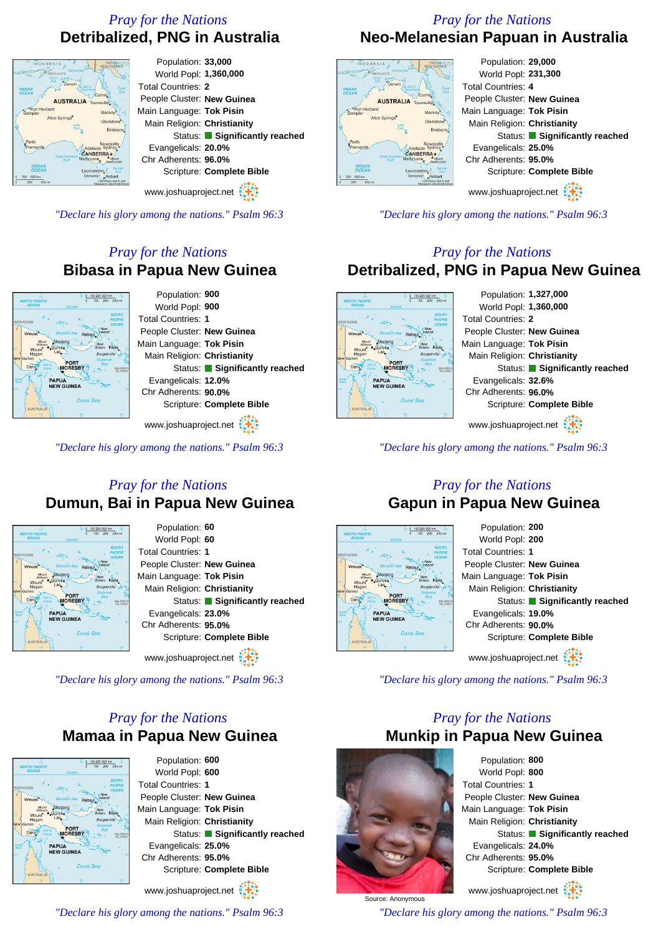### *Pray for the Nations* **Detribalized, PNG in Australia**



*"Declare his glory among the nations." Psalm 96:3*

### *Pray for the Nations* **Bibasa in Papua New Guinea**



Population: **900** World Popl: **900** Total Countries: **1** People Cluster: **New Guinea** Main Language: **Tok Pisin** Main Religion: **Christianity** Status: **Significantly reached** Evangelicals: **12.0%** Chr Adherents: **90.0%** Scripture: **Complete Bible**

www.joshuaproject.net

*"Declare his glory among the nations." Psalm 96:3*

### *Pray for the Nations* **Dumun, Bai in Papua New Guinea**



Population: **60** World Popl: **60** Total Countries: **1** People Cluster: **New Guinea** Main Language: **Tok Pisin** Main Religion: **Christianity** Status: **Significantly reached** Evangelicals: **23.0%** Chr Adherents: **95.0%** Scripture: **Complete Bible** www.joshuaproject.net

*"Declare his glory among the nations." Psalm 96:3*

### *Pray for the Nations* **Mamaa in Papua New Guinea**



Population: **600** World Popl: **600** Total Countries: **1** People Cluster: **New Guinea** Main Language: **Tok Pisin** Main Religion: **Christianity** Status: **Significantly reached** Evangelicals: **25.0%** Chr Adherents: **95.0%** Scripture: **Complete Bible**

www.joshuaproject.net

*"Declare his glory among the nations." Psalm 96:3*

# *Pray for the Nations*





Population: **29,000** World Popl: **231,300** Total Countries: **4** People Cluster: **New Guinea** Main Language: **Tok Pisin** Main Religion: **Christianity** Status: **Significantly reached** Evangelicals: **25.0%** Chr Adherents: **95.0%** Scripture: **Complete Bible**

www.joshuaproject.net

*"Declare his glory among the nations." Psalm 96:3*

### *Pray for the Nations* **Detribalized, PNG in Papua New Guinea**

Population: **1,327,000** World Popl: **1,360,000** Total Countries: **2** People Cluster: **New Guinea** Main Language: **Tok Pisin** Main Religion: **Christianity** Status: **Significantly reached** Evangelicals: **32.6%** Chr Adherents: **96.0%** Scripture: **Complete Bible** www.joshuaproject.net

*"Declare his glory among the nations." Psalm 96:3*

### *Pray for the Nations* **Gapun in Papua New Guinea**



Population: **200** World Popl: **200** Total Countries: **1** People Cluster: **New Guinea** Main Language: **Tok Pisin** Main Religion: **Christianity** Status: **Significantly reached** Evangelicals: **19.0%** Chr Adherents: **90.0%** Scripture: **Complete Bible** www.joshuaproject.net

*"Declare his glory among the nations." Psalm 96:3*

### *Pray for the Nations* **Munkip in Papua New Guinea**



Source: Anonymous

Population: **800** World Popl: **800** Total Countries: **1** People Cluster: **New Guinea** Main Language: **Tok Pisin** Main Religion: **Christianity** Status: **Significantly reached** Evangelicals: **24.0%** Chr Adherents: **95.0%** Scripture: **Complete Bible**

www.joshuaproject.net

*"Declare his glory among the nations." Psalm 96:3*